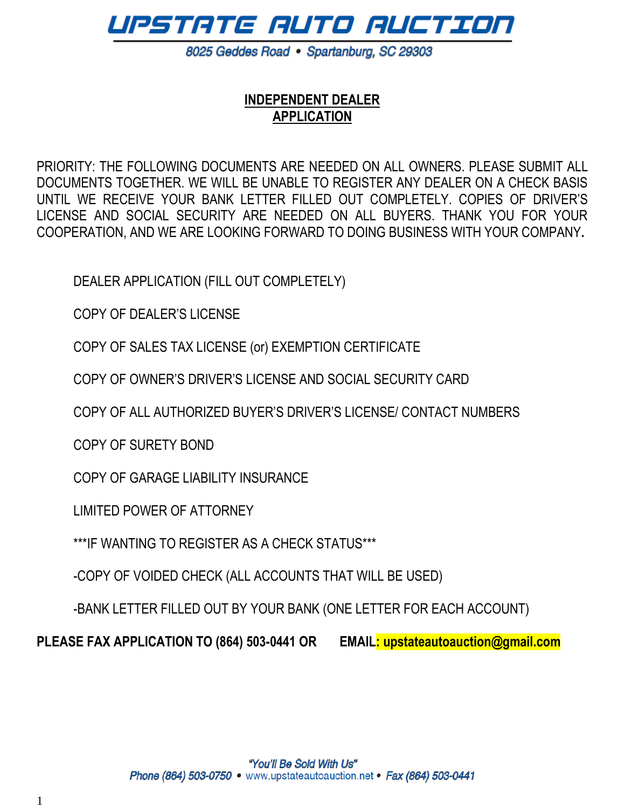

8025 Geddes Road • Spartanburg, SC 29303

#### **INDEPENDENT DEALER APPLICATION**

PRIORITY: THE FOLLOWING DOCUMENTS ARE NEEDED ON ALL OWNERS. PLEASE SUBMIT ALL DOCUMENTS TOGETHER. WE WILL BE UNABLE TO REGISTER ANY DEALER ON A CHECK BASIS UNTIL WE RECEIVE YOUR BANK LETTER FILLED OUT COMPLETELY. COPIES OF DRIVER'S LICENSE AND SOCIAL SECURITY ARE NEEDED ON ALL BUYERS. THANK YOU FOR YOUR COOPERATION, AND WE ARE LOOKING FORWARD TO DOING BUSINESS WITH YOUR COMPANY**.** 

DEALER APPLICATION (FILL OUT COMPLETELY)

COPY OF DEALER'S LICENSE

COPY OF SALES TAX LICENSE (or) EXEMPTION CERTIFICATE

COPY OF OWNER'S DRIVER'S LICENSE AND SOCIAL SECURITY CARD

COPY OF ALL AUTHORIZED BUYER'S DRIVER'S LICENSE/ CONTACT NUMBERS

COPY OF SURETY BOND

COPY OF GARAGE LIABILITY INSURANCE

LIMITED POWER OF ATTORNEY

\*\*\*IF WANTING TO REGISTER AS A CHECK STATUS\*\*\*

-COPY OF VOIDED CHECK (ALL ACCOUNTS THAT WILL BE USED)

-BANK LETTER FILLED OUT BY YOUR BANK (ONE LETTER FOR EACH ACCOUNT)

**PLEASE FAX APPLICATION TO (864) 503-0441 OR EMAIL: upstateautoauction@gmail.com**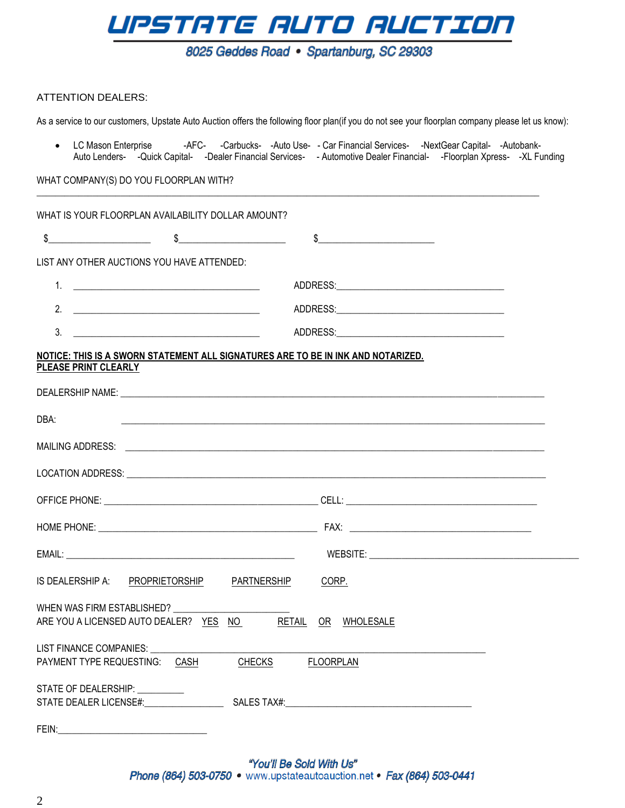

8025 Geddes Road · Spartanburg, SC 29303

#### ATTENTION DEALERS:

As a service to our customers, Upstate Auto Auction offers the following floor plan(if you do not see your floorplan company please let us know):

 $\_$  ,  $\_$  ,  $\_$  ,  $\_$  ,  $\_$  ,  $\_$  ,  $\_$  ,  $\_$  ,  $\_$  ,  $\_$  ,  $\_$  ,  $\_$  ,  $\_$  ,  $\_$  ,  $\_$  ,  $\_$  ,  $\_$  ,  $\_$  ,  $\_$  ,  $\_$  ,  $\_$  ,  $\_$  ,  $\_$  ,  $\_$  ,  $\_$  ,  $\_$  ,  $\_$  ,  $\_$  ,  $\_$  ,  $\_$  ,  $\_$  ,  $\_$  ,  $\_$  ,  $\_$  ,  $\_$  ,  $\_$  ,  $\_$  ,

• LC Mason Enterprise -AFC- -Carbucks- -Auto Use- - Car Financial Services- -NextGear Capital- -Autobank-Auto Lenders- -Quick Capital- -Dealer Financial Services- - Automotive Dealer Financial- -Floorplan Xpress- -XL Funding

#### WHAT COMPANY(S) DO YOU FLOORPLAN WITH?

|                                 | WHAT IS YOUR FLOORPLAN AVAILABILITY DOLLAR AMOUNT?                                                               |                  | $\updownarrow$ |  |
|---------------------------------|------------------------------------------------------------------------------------------------------------------|------------------|----------------|--|
|                                 | LIST ANY OTHER AUCTIONS YOU HAVE ATTENDED:                                                                       |                  |                |  |
|                                 |                                                                                                                  |                  |                |  |
|                                 | 2. $\overline{\phantom{a}}$                                                                                      |                  |                |  |
| 3.                              |                                                                                                                  |                  |                |  |
| PLEASE PRINT CLEARLY            | NOTICE: THIS IS A SWORN STATEMENT ALL SIGNATURES ARE TO BE IN INK AND NOTARIZED.                                 |                  |                |  |
| DBA:                            | <u> 1980 - Jan James James James James James James James James James James James James James James James Jam</u> |                  |                |  |
|                                 |                                                                                                                  |                  |                |  |
|                                 |                                                                                                                  |                  |                |  |
|                                 |                                                                                                                  |                  |                |  |
|                                 |                                                                                                                  |                  |                |  |
|                                 |                                                                                                                  |                  |                |  |
|                                 | IS DEALERSHIP A: PROPRIETORSHIP PARTNERSHIP CORP.                                                                |                  |                |  |
|                                 | WHEN WAS FIRM ESTABLISHED?<br>ARE YOU A LICENSED AUTO DEALER? YES NO RETAIL OR WHOLESALE                         |                  |                |  |
|                                 |                                                                                                                  |                  |                |  |
| PAYMENT TYPE REQUESTING: CASH   |                                                                                                                  | CHECKS FLOORPLAN |                |  |
| STATE OF DEALERSHIP: __________ |                                                                                                                  |                  |                |  |
|                                 |                                                                                                                  |                  |                |  |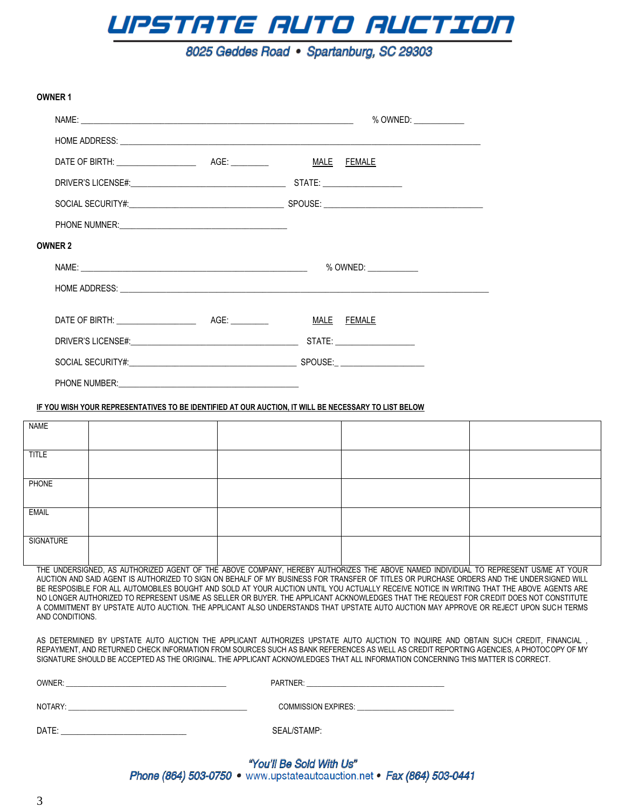

8025 Geddes Road · Spartanburg, SC 29303

| <b>OWNER 1</b>   |                                                                                                                                  |             |                       |                                                                                                                                                                                                                                                                                                                                                                                                                                                                                                                                                                                                                                                                                                              |
|------------------|----------------------------------------------------------------------------------------------------------------------------------|-------------|-----------------------|--------------------------------------------------------------------------------------------------------------------------------------------------------------------------------------------------------------------------------------------------------------------------------------------------------------------------------------------------------------------------------------------------------------------------------------------------------------------------------------------------------------------------------------------------------------------------------------------------------------------------------------------------------------------------------------------------------------|
|                  |                                                                                                                                  |             | % OWNED: ___________  |                                                                                                                                                                                                                                                                                                                                                                                                                                                                                                                                                                                                                                                                                                              |
|                  |                                                                                                                                  |             |                       |                                                                                                                                                                                                                                                                                                                                                                                                                                                                                                                                                                                                                                                                                                              |
|                  |                                                                                                                                  |             | MALE FEMALE           |                                                                                                                                                                                                                                                                                                                                                                                                                                                                                                                                                                                                                                                                                                              |
|                  |                                                                                                                                  |             |                       |                                                                                                                                                                                                                                                                                                                                                                                                                                                                                                                                                                                                                                                                                                              |
|                  |                                                                                                                                  |             |                       |                                                                                                                                                                                                                                                                                                                                                                                                                                                                                                                                                                                                                                                                                                              |
|                  |                                                                                                                                  |             |                       |                                                                                                                                                                                                                                                                                                                                                                                                                                                                                                                                                                                                                                                                                                              |
| <b>OWNER 2</b>   |                                                                                                                                  |             |                       |                                                                                                                                                                                                                                                                                                                                                                                                                                                                                                                                                                                                                                                                                                              |
|                  |                                                                                                                                  |             | % OWNED: ____________ |                                                                                                                                                                                                                                                                                                                                                                                                                                                                                                                                                                                                                                                                                                              |
|                  |                                                                                                                                  |             |                       |                                                                                                                                                                                                                                                                                                                                                                                                                                                                                                                                                                                                                                                                                                              |
|                  |                                                                                                                                  |             |                       |                                                                                                                                                                                                                                                                                                                                                                                                                                                                                                                                                                                                                                                                                                              |
|                  |                                                                                                                                  |             |                       |                                                                                                                                                                                                                                                                                                                                                                                                                                                                                                                                                                                                                                                                                                              |
|                  |                                                                                                                                  |             |                       |                                                                                                                                                                                                                                                                                                                                                                                                                                                                                                                                                                                                                                                                                                              |
|                  |                                                                                                                                  |             |                       |                                                                                                                                                                                                                                                                                                                                                                                                                                                                                                                                                                                                                                                                                                              |
|                  | IF YOU WISH YOUR REPRESENTATIVES TO BE IDENTIFIED AT OUR AUCTION, IT WILL BE NECESSARY TO LIST BELOW                             |             |                       |                                                                                                                                                                                                                                                                                                                                                                                                                                                                                                                                                                                                                                                                                                              |
| <b>NAME</b>      |                                                                                                                                  |             |                       |                                                                                                                                                                                                                                                                                                                                                                                                                                                                                                                                                                                                                                                                                                              |
|                  |                                                                                                                                  |             |                       |                                                                                                                                                                                                                                                                                                                                                                                                                                                                                                                                                                                                                                                                                                              |
| <b>TITLE</b>     |                                                                                                                                  |             |                       |                                                                                                                                                                                                                                                                                                                                                                                                                                                                                                                                                                                                                                                                                                              |
| PHONE            |                                                                                                                                  |             |                       |                                                                                                                                                                                                                                                                                                                                                                                                                                                                                                                                                                                                                                                                                                              |
| <b>EMAIL</b>     |                                                                                                                                  |             |                       |                                                                                                                                                                                                                                                                                                                                                                                                                                                                                                                                                                                                                                                                                                              |
| <b>SIGNATURE</b> |                                                                                                                                  |             |                       |                                                                                                                                                                                                                                                                                                                                                                                                                                                                                                                                                                                                                                                                                                              |
| AND CONDITIONS.  |                                                                                                                                  |             |                       | THE UNDERSIGNED. AS AUTHORIZED AGENT OF THE ABOVE COMPANY, HEREBY AUTHORIZES THE ABOVE NAMED INDIVIDUAL TO REPRESENT USIME AT YOUR<br>AUCTION AND SAID AGENT IS AUTHORIZED TO SIGN ON BEHALF OF MY BUSINESS FOR TRANSFER OF TITLES OR PURCHASE ORDERS AND THE UNDERSIGNED WILL<br>BE RESPOSIBLE FOR ALL AUTOMOBILES BOUGHT AND SOLD AT YOUR AUCTION UNTIL YOU ACTUALLY RECEIVE NOTICE IN WRITING THAT THE ABOVE AGENTS ARE<br>NO LONGER AUTHORIZED TO REPRESENT US/ME AS SELLER OR BUYER. THE APPLICANT ACKNOWLEDGES THAT THE REQUEST FOR CREDIT DOES NOT CONSTITUTE<br>A COMMITMENT BY UPSTATE AUTO AUCTION. THE APPLICANT ALSO UNDERSTANDS THAT UPSTATE AUTO AUCTION MAY APPROVE OR REJECT UPON SUCH TERMS |
|                  | SIGNATURE SHOULD BE ACCEPTED AS THE ORIGINAL. THE APPLICANT ACKNOWLEDGES THAT ALL INFORMATION CONCERNING THIS MATTER IS CORRECT. |             |                       | AS DETERMINED BY UPSTATE AUTO AUCTION THE APPLICANT AUTHORIZES UPSTATE AUTO AUCTION TO INQUIRE AND OBTAIN SUCH CREDIT. FINANCIAL.<br>REPAYMENT. AND RETURNED CHECK INFORMATION FROM SOURCES SUCH AS BANK REFERENCES AS WELL AS CREDIT REPORTING AGENCIES. A PHOTOCOPY OF MY                                                                                                                                                                                                                                                                                                                                                                                                                                  |
|                  |                                                                                                                                  |             |                       |                                                                                                                                                                                                                                                                                                                                                                                                                                                                                                                                                                                                                                                                                                              |
|                  |                                                                                                                                  |             |                       |                                                                                                                                                                                                                                                                                                                                                                                                                                                                                                                                                                                                                                                                                                              |
|                  |                                                                                                                                  | SEAL/STAMP: |                       |                                                                                                                                                                                                                                                                                                                                                                                                                                                                                                                                                                                                                                                                                                              |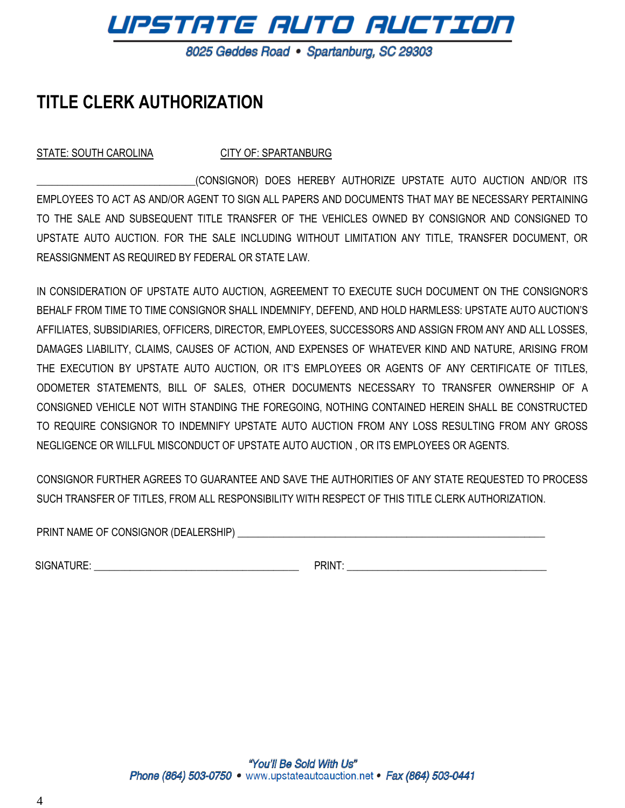## UPSTATE AUTO AUCTION

8025 Geddes Road · Spartanburg, SC 29303

### **TITLE CLERK AUTHORIZATION**

STATE: SOUTH CAROLINA CITY OF: SPARTANBURG

\_\_\_\_\_\_\_\_\_\_\_\_\_\_\_\_\_\_\_\_\_\_\_\_\_\_\_\_\_\_\_(CONSIGNOR) DOES HEREBY AUTHORIZE UPSTATE AUTO AUCTION AND/OR ITS EMPLOYEES TO ACT AS AND/OR AGENT TO SIGN ALL PAPERS AND DOCUMENTS THAT MAY BE NECESSARY PERTAINING TO THE SALE AND SUBSEQUENT TITLE TRANSFER OF THE VEHICLES OWNED BY CONSIGNOR AND CONSIGNED TO UPSTATE AUTO AUCTION. FOR THE SALE INCLUDING WITHOUT LIMITATION ANY TITLE, TRANSFER DOCUMENT, OR REASSIGNMENT AS REQUIRED BY FEDERAL OR STATE LAW.

IN CONSIDERATION OF UPSTATE AUTO AUCTION, AGREEMENT TO EXECUTE SUCH DOCUMENT ON THE CONSIGNOR'S BEHALF FROM TIME TO TIME CONSIGNOR SHALL INDEMNIFY, DEFEND, AND HOLD HARMLESS: UPSTATE AUTO AUCTION'S AFFILIATES, SUBSIDIARIES, OFFICERS, DIRECTOR, EMPLOYEES, SUCCESSORS AND ASSIGN FROM ANY AND ALL LOSSES, DAMAGES LIABILITY, CLAIMS, CAUSES OF ACTION, AND EXPENSES OF WHATEVER KIND AND NATURE, ARISING FROM THE EXECUTION BY UPSTATE AUTO AUCTION, OR IT'S EMPLOYEES OR AGENTS OF ANY CERTIFICATE OF TITLES, ODOMETER STATEMENTS, BILL OF SALES, OTHER DOCUMENTS NECESSARY TO TRANSFER OWNERSHIP OF A CONSIGNED VEHICLE NOT WITH STANDING THE FOREGOING, NOTHING CONTAINED HEREIN SHALL BE CONSTRUCTED TO REQUIRE CONSIGNOR TO INDEMNIFY UPSTATE AUTO AUCTION FROM ANY LOSS RESULTING FROM ANY GROSS NEGLIGENCE OR WILLFUL MISCONDUCT OF UPSTATE AUTO AUCTION , OR ITS EMPLOYEES OR AGENTS.

CONSIGNOR FURTHER AGREES TO GUARANTEE AND SAVE THE AUTHORITIES OF ANY STATE REQUESTED TO PROCESS SUCH TRANSFER OF TITLES, FROM ALL RESPONSIBILITY WITH RESPECT OF THIS TITLE CLERK AUTHORIZATION.

PRINT NAME OF CONSIGNOR (DEALERSHIP)

SIGNATURE: \_\_\_\_\_\_\_\_\_\_\_\_\_\_\_\_\_\_\_\_\_\_\_\_\_\_\_\_\_\_\_\_\_\_\_\_\_\_\_\_ PRINT: \_\_\_\_\_\_\_\_\_\_\_\_\_\_\_\_\_\_\_\_\_\_\_\_\_\_\_\_\_\_\_\_\_\_\_\_\_\_\_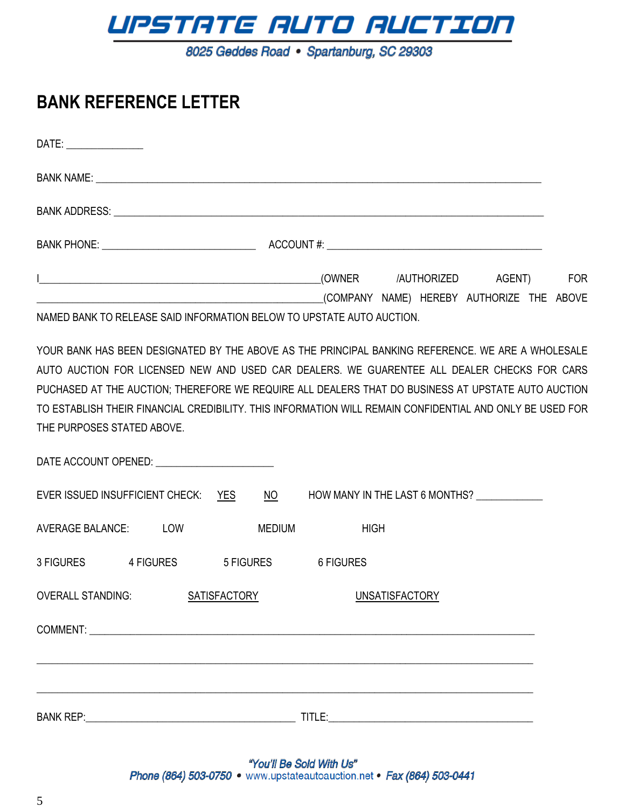

8025 Geddes Road · Spartanburg, SC 29303

#### **BANK REFERENCE LETTER**

| <u> La componenta de la componenta de la componenta de la componenta de la componenta de la componenta de la compo</u> |  |  | (OWNER /AUTHORIZED AGENT)                 | <b>FOR</b> |
|------------------------------------------------------------------------------------------------------------------------|--|--|-------------------------------------------|------------|
|                                                                                                                        |  |  | (COMPANY NAME) HEREBY AUTHORIZE THE ABOVE |            |
| NAMED BANK TO RELEASE SAID INFORMATION BELOW TO UPSTATE AUTO AUCTION.                                                  |  |  |                                           |            |

YOUR BANK HAS BEEN DESIGNATED BY THE ABOVE AS THE PRINCIPAL BANKING REFERENCE. WE ARE A WHOLESALE AUTO AUCTION FOR LICENSED NEW AND USED CAR DEALERS. WE GUARENTEE ALL DEALER CHECKS FOR CARS PUCHASED AT THE AUCTION; THEREFORE WE REQUIRE ALL DEALERS THAT DO BUSINESS AT UPSTATE AUTO AUCTION TO ESTABLISH THEIR FINANCIAL CREDIBILITY. THIS INFORMATION WILL REMAIN CONFIDENTIAL AND ONLY BE USED FOR THE PURPOSES STATED ABOVE.

| DATE ACCOUNT OPENED: ________________________ |                     |           |                       |                                |
|-----------------------------------------------|---------------------|-----------|-----------------------|--------------------------------|
| EVER ISSUED INSUFFICIENT CHECK: YES NO        |                     |           |                       | HOW MANY IN THE LAST 6 MONTHS? |
| AVERAGE BALANCE: LOW                          |                     | MEDIUM    | <b>HIGH</b>           |                                |
| 3 FIGURES 4 FIGURES                           |                     | 5 FIGURES | 6 FIGURES             |                                |
| <b>OVERALL STANDING:</b>                      | <b>SATISFACTORY</b> |           | <b>UNSATISFACTORY</b> |                                |
|                                               |                     |           |                       |                                |
|                                               |                     |           |                       |                                |
|                                               |                     |           |                       |                                |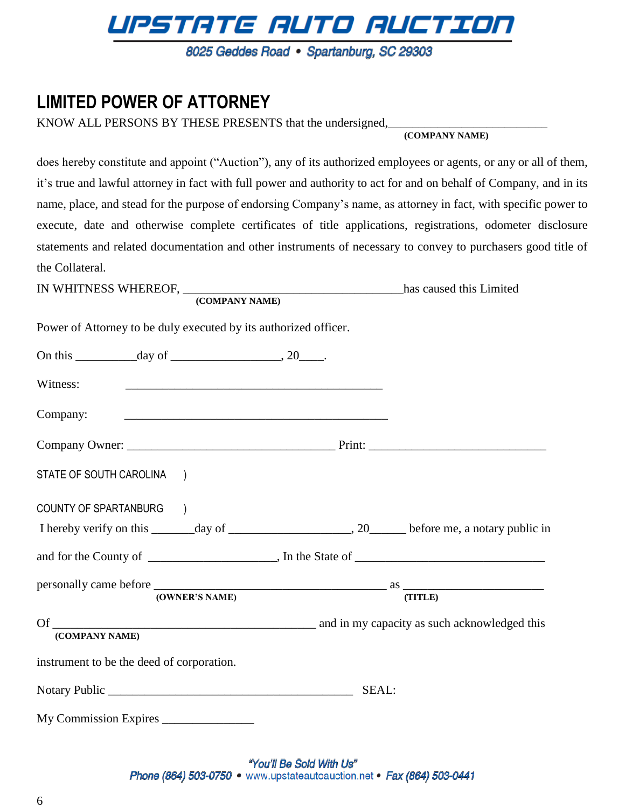# UPSTATE AUTO AUCTION

8025 Geddes Road · Spartanburg, SC 29303

### **LIMITED POWER OF ATTORNEY**

KNOW ALL PERSONS BY THESE PRESENTS that the undersigned,

**(COMPANY NAME)**

does hereby constitute and appoint ("Auction"), any of its authorized employees or agents, or any or all of them, it's true and lawful attorney in fact with full power and authority to act for and on behalf of Company, and in its name, place, and stead for the purpose of endorsing Company's name, as attorney in fact, with specific power to execute, date and otherwise complete certificates of title applications, registrations, odometer disclosure statements and related documentation and other instruments of necessary to convey to purchasers good title of the Collateral.

| IN WHITNESS WHEREOF, |                | has caused this Limited |
|----------------------|----------------|-------------------------|
|                      | (COMPANY NAME) |                         |

Power of Attorney to be duly executed by its authorized officer.

|                           | On this $\_\_\_\_\_$ day of $\_\_\_\_\_\_$ , 20 $\_\_\_\_\_$ .                                                        |       |         |
|---------------------------|-----------------------------------------------------------------------------------------------------------------------|-------|---------|
| Witness:                  | <u> 1989 - Johann Stoff, amerikansk politiker (* 1908)</u>                                                            |       |         |
| Company:                  | <u> 1980 - Johann Harry Harry Harry Harry Harry Harry Harry Harry Harry Harry Harry Harry Harry Harry Harry Harry</u> |       |         |
|                           |                                                                                                                       |       |         |
| STATE OF SOUTH CAROLINA ) |                                                                                                                       |       |         |
| COUNTY OF SPARTANBURG )   |                                                                                                                       |       |         |
|                           |                                                                                                                       |       |         |
|                           |                                                                                                                       |       |         |
|                           | (OWNER'S NAME)                                                                                                        |       | (TITLE) |
| (COMPANY NAME)            |                                                                                                                       |       |         |
|                           | instrument to be the deed of corporation.                                                                             |       |         |
|                           |                                                                                                                       | SEAL: |         |
|                           | My Commission Expires                                                                                                 |       |         |